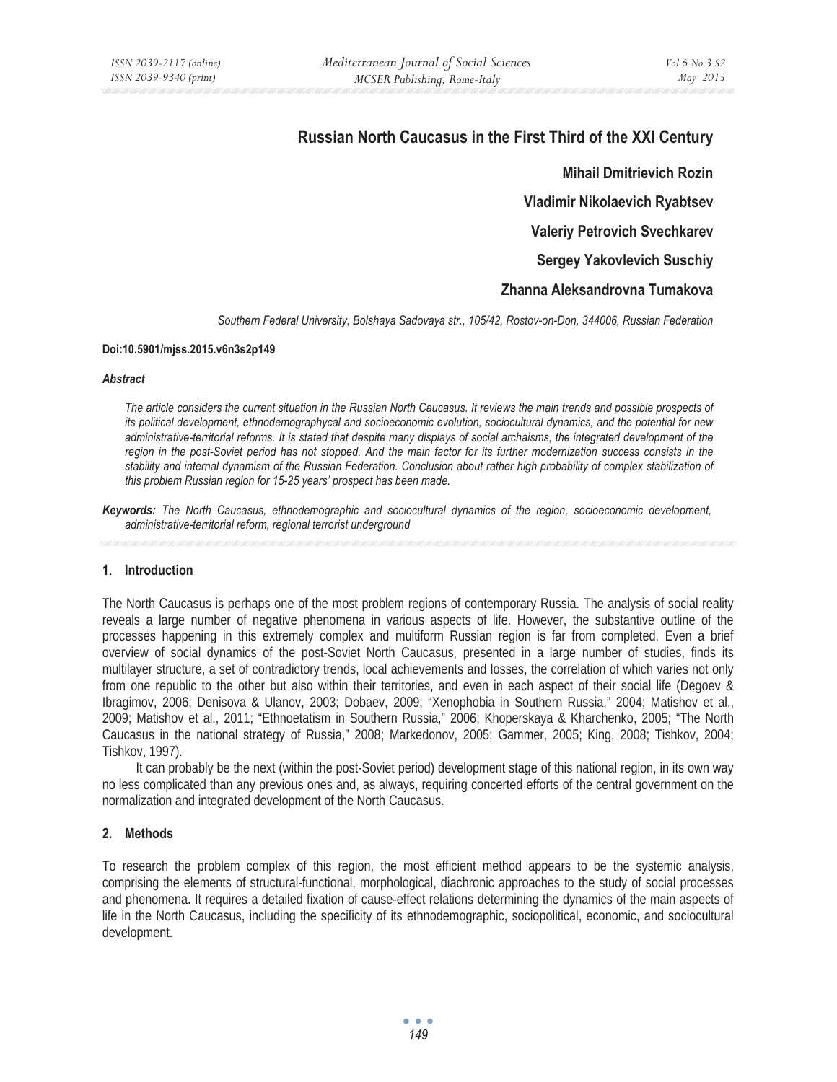# **Russian North Caucasus in the First Third of the XXI Century**

**Mihail Dmitrievich Rozin Vladimir Nikolaevich Ryabtsev Valeriy Petrovich Svechkarev Sergey Yakovlevich Suschiy** 

# **Zhanna Aleksandrovna Tumakova**

*Southern Federal University, Bolshaya Sadovaya str., 105/42, Rostov-on-Don, 344006, Russian Federation* 

#### **Doi:10.5901/mjss.2015.v6n3s2p149**

#### *Abstract*

*The article considers the current situation in the Russian North Caucasus. It reviews the main trends and possible prospects of its political development, ethnodemographycal and socioeconomic evolution, sociocultural dynamics, and the potential for new*  administrative-territorial reforms. It is stated that despite many displays of social archaisms, the integrated development of the *region in the post-Soviet period has not stopped. And the main factor for its further modernization success consists in the stability and internal dynamism of the Russian Federation. Conclusion about rather high probability of complex stabilization of this problem Russian region for 15-25 years' prospect has been made.* 

*Keywords: The North Caucasus, ethnodemographic and sociocultural dynamics of the region, socioeconomic development, administrative-territorial reform, regional terrorist underground* 

### **1. Introduction**

The North Caucasus is perhaps one of the most problem regions of contemporary Russia. The analysis of social reality reveals a large number of negative phenomena in various aspects of life. However, the substantive outline of the processes happening in this extremely complex and multiform Russian region is far from completed. Even a brief overview of social dynamics of the post-Soviet North Caucasus, presented in a large number of studies, finds its multilayer structure, a set of contradictory trends, local achievements and losses, the correlation of which varies not only from one republic to the other but also within their territories, and even in each aspect of their social life (Degoev & Ibragimov, 2006; Denisova & Ulanov, 2003; Dobaev, 2009; "Xenophobia in Southern Russia," 2004; Matishov et al., 2009; Matishov et al., 2011; "Ethnoetatism in Southern Russia," 2006; Khoperskaya & Kharchenko, 2005; "The North Caucasus in the national strategy of Russia," 2008; Markedonov, 2005; Gammer, 2005; King, 2008; Tishkov, 2004; Tishkov, 1997).

It can probably be the next (within the post-Soviet period) development stage of this national region, in its own way no less complicated than any previous ones and, as always, requiring concerted efforts of the central government on the normalization and integrated development of the North Caucasus.

# **2. Methods**

To research the problem complex of this region, the most efficient method appears to be the systemic analysis, comprising the elements of structural-functional, morphological, diachronic approaches to the study of social processes and phenomena. It requires a detailed fixation of cause-effect relations determining the dynamics of the main aspects of life in the North Caucasus, including the specificity of its ethnodemographic, sociopolitical, economic, and sociocultural development.

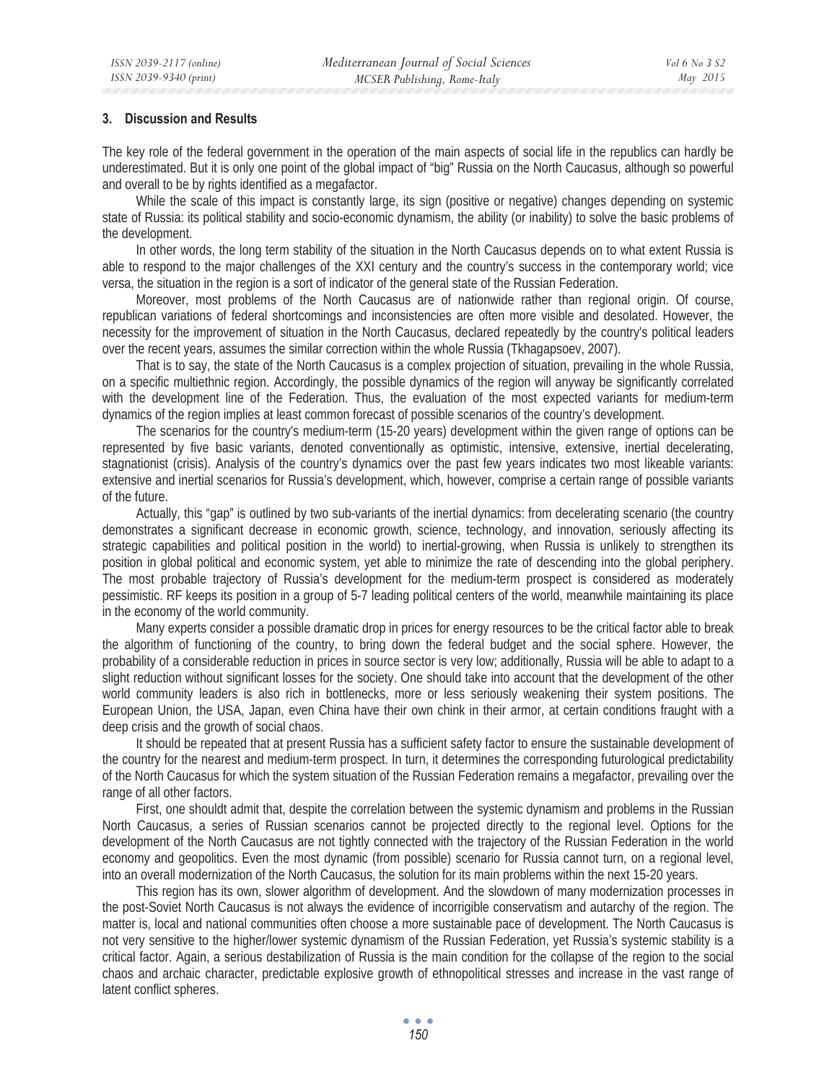### **3. Discussion and Results**

The key role of the federal government in the operation of the main aspects of social life in the republics can hardly be underestimated. But it is only one point of the global impact of "big" Russia on the North Caucasus, although so powerful and overall to be by rights identified as a megafactor.

While the scale of this impact is constantly large, its sign (positive or negative) changes depending on systemic state of Russia: its political stability and socio-economic dynamism, the ability (or inability) to solve the basic problems of the development.

In other words, the long term stability of the situation in the North Caucasus depends on to what extent Russia is able to respond to the major challenges of the XXI century and the country's success in the contemporary world; vice versa, the situation in the region is a sort of indicator of the general state of the Russian Federation.

Moreover, most problems of the North Caucasus are of nationwide rather than regional origin. Of course, republican variations of federal shortcomings and inconsistencies are often more visible and desolated. However, the necessity for the improvement of situation in the North Caucasus, declared repeatedly by the country's political leaders over the recent years, assumes the similar correction within the whole Russia (Tkhagapsoev, 2007).

That is to say, the state of the North Caucasus is a complex projection of situation, prevailing in the whole Russia, on a specific multiethnic region. Accordingly, the possible dynamics of the region will anyway be significantly correlated with the development line of the Federation. Thus, the evaluation of the most expected variants for medium-term dynamics of the region implies at least common forecast of possible scenarios of the country's development.

The scenarios for the country's medium-term (15-20 years) development within the given range of options can be represented by five basic variants, denoted conventionally as optimistic, intensive, extensive, inertial decelerating, stagnationist (crisis). Analysis of the country's dynamics over the past few years indicates two most likeable variants: extensive and inertial scenarios for Russia's development, which, however, comprise a certain range of possible variants of the future.

Actually, this "gap" is outlined by two sub-variants of the inertial dynamics: from decelerating scenario (the country demonstrates a significant decrease in economic growth, science, technology, and innovation, seriously affecting its strategic capabilities and political position in the world) to inertial-growing, when Russia is unlikely to strengthen its position in global political and economic system, yet able to minimize the rate of descending into the global periphery. The most probable trajectory of Russia's development for the medium-term prospect is considered as moderately pessimistic. RF keeps its position in a group of 5-7 leading political centers of the world, meanwhile maintaining its place in the economy of the world community.

Many experts consider a possible dramatic drop in prices for energy resources to be the critical factor able to break the algorithm of functioning of the country, to bring down the federal budget and the social sphere. However, the probability of a considerable reduction in prices in source sector is very low; additionally, Russia will be able to adapt to a slight reduction without significant losses for the society. One should take into account that the development of the other world community leaders is also rich in bottlenecks, more or less seriously weakening their system positions. The European Union, the USA, Japan, even China have their own chink in their armor, at certain conditions fraught with a deep crisis and the growth of social chaos.

It should be repeated that at present Russia has a sufficient safety factor to ensure the sustainable development of the country for the nearest and medium-term prospect. In turn, it determines the corresponding futurological predictability of the North Caucasus for which the system situation of the Russian Federation remains a megafactor, prevailing over the range of all other factors.

First, one shouldt admit that, despite the correlation between the systemic dynamism and problems in the Russian North Caucasus, a series of Russian scenarios cannot be projected directly to the regional level. Options for the development of the North Caucasus are not tightly connected with the trajectory of the Russian Federation in the world economy and geopolitics. Even the most dynamic (from possible) scenario for Russia cannot turn, on a regional level, into an overall modernization of the North Caucasus, the solution for its main problems within the next 15-20 years.

This region has its own, slower algorithm of development. And the slowdown of many modernization processes in the post-Soviet North Caucasus is not always the evidence of incorrigible conservatism and autarchy of the region. The matter is, local and national communities often choose a more sustainable pace of development. The North Caucasus is not very sensitive to the higher/lower systemic dynamism of the Russian Federation, yet Russia's systemic stability is a critical factor. Again, a serious destabilization of Russia is the main condition for the collapse of the region to the social chaos and archaic character, predictable explosive growth of ethnopolitical stresses and increase in the vast range of latent conflict spheres.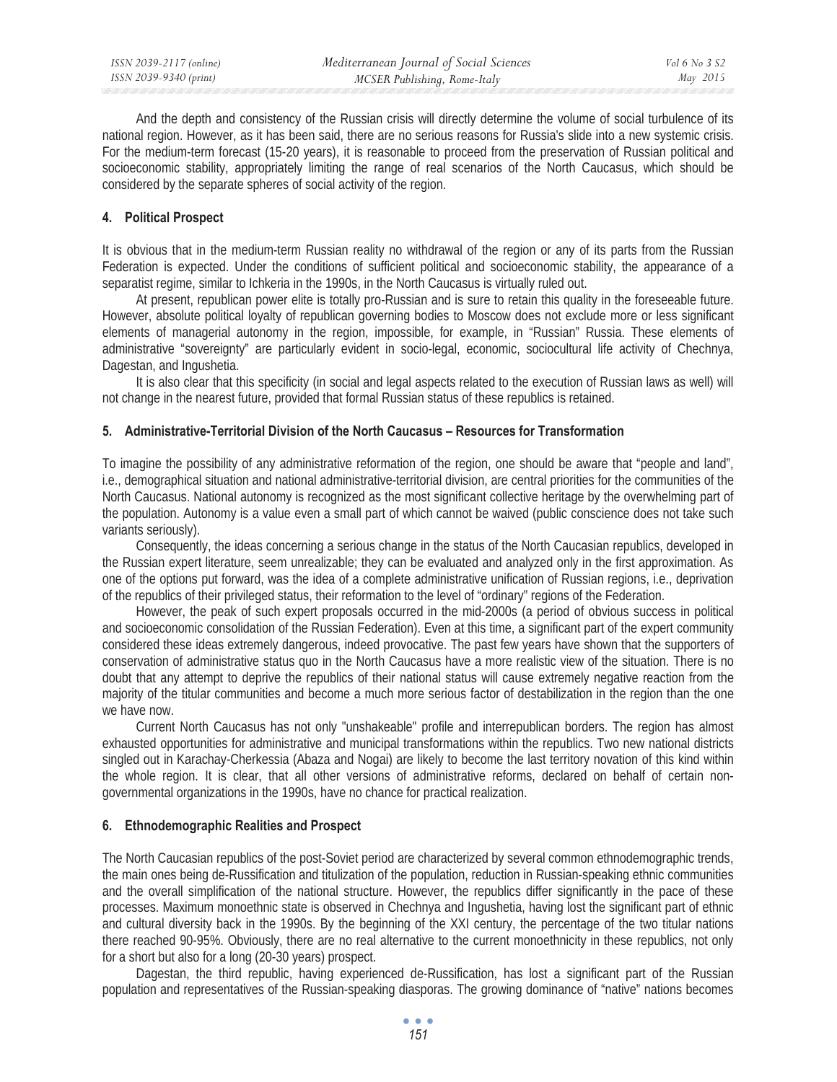And the depth and consistency of the Russian crisis will directly determine the volume of social turbulence of its national region. However, as it has been said, there are no serious reasons for Russia's slide into a new systemic crisis. For the medium-term forecast (15-20 years), it is reasonable to proceed from the preservation of Russian political and socioeconomic stability, appropriately limiting the range of real scenarios of the North Caucasus, which should be considered by the separate spheres of social activity of the region.

# **4. Political Prospect**

It is obvious that in the medium-term Russian reality no withdrawal of the region or any of its parts from the Russian Federation is expected. Under the conditions of sufficient political and socioeconomic stability, the appearance of a separatist regime, similar to Ichkeria in the 1990s, in the North Caucasus is virtually ruled out.

At present, republican power elite is totally pro-Russian and is sure to retain this quality in the foreseeable future. However, absolute political loyalty of republican governing bodies to Moscow does not exclude more or less significant elements of managerial autonomy in the region, impossible, for example, in "Russian" Russia. These elements of administrative "sovereignty" are particularly evident in socio-legal, economic, sociocultural life activity of Chechnya, Dagestan, and Ingushetia.

It is also clear that this specificity (in social and legal aspects related to the execution of Russian laws as well) will not change in the nearest future, provided that formal Russian status of these republics is retained.

# **5. Administrative-Territorial Division of the North Caucasus – Resources for Transformation**

To imagine the possibility of any administrative reformation of the region, one should be aware that "people and land", i.e., demographical situation and national administrative-territorial division, are central priorities for the communities of the North Caucasus. National autonomy is recognized as the most significant collective heritage by the overwhelming part of the population. Autonomy is a value even a small part of which cannot be waived (public conscience does not take such variants seriously).

Consequently, the ideas concerning a serious change in the status of the North Caucasian republics, developed in the Russian expert literature, seem unrealizable; they can be evaluated and analyzed only in the first approximation. As one of the options put forward, was the idea of a complete administrative unification of Russian regions, i.e., deprivation of the republics of their privileged status, their reformation to the level of "ordinary" regions of the Federation.

However, the peak of such expert proposals occurred in the mid-2000s (a period of obvious success in political and socioeconomic consolidation of the Russian Federation). Even at this time, a significant part of the expert community considered these ideas extremely dangerous, indeed provocative. The past few years have shown that the supporters of conservation of administrative status quo in the North Caucasus have a more realistic view of the situation. There is no doubt that any attempt to deprive the republics of their national status will cause extremely negative reaction from the majority of the titular communities and become a much more serious factor of destabilization in the region than the one we have now.

Current North Caucasus has not only "unshakeable" profile and interrepublican borders. The region has almost exhausted opportunities for administrative and municipal transformations within the republics. Two new national districts singled out in Karachay-Cherkessia (Abaza and Nogai) are likely to become the last territory novation of this kind within the whole region. It is clear, that all other versions of administrative reforms, declared on behalf of certain nongovernmental organizations in the 1990s, have no chance for practical realization.

# **6. Ethnodemographic Realities and Prospect**

The North Caucasian republics of the post-Soviet period are characterized by several common ethnodemographic trends, the main ones being de-Russification and titulization of the population, reduction in Russian-speaking ethnic communities and the overall simplification of the national structure. However, the republics differ significantly in the pace of these processes. Maximum monoethnic state is observed in Chechnya and Ingushetia, having lost the significant part of ethnic and cultural diversity back in the 1990s. By the beginning of the XXI century, the percentage of the two titular nations there reached 90-95%. Obviously, there are no real alternative to the current monoethnicity in these republics, not only for a short but also for a long (20-30 years) prospect.

Dagestan, the third republic, having experienced de-Russification, has lost a significant part of the Russian population and representatives of the Russian-speaking diasporas. The growing dominance of "native" nations becomes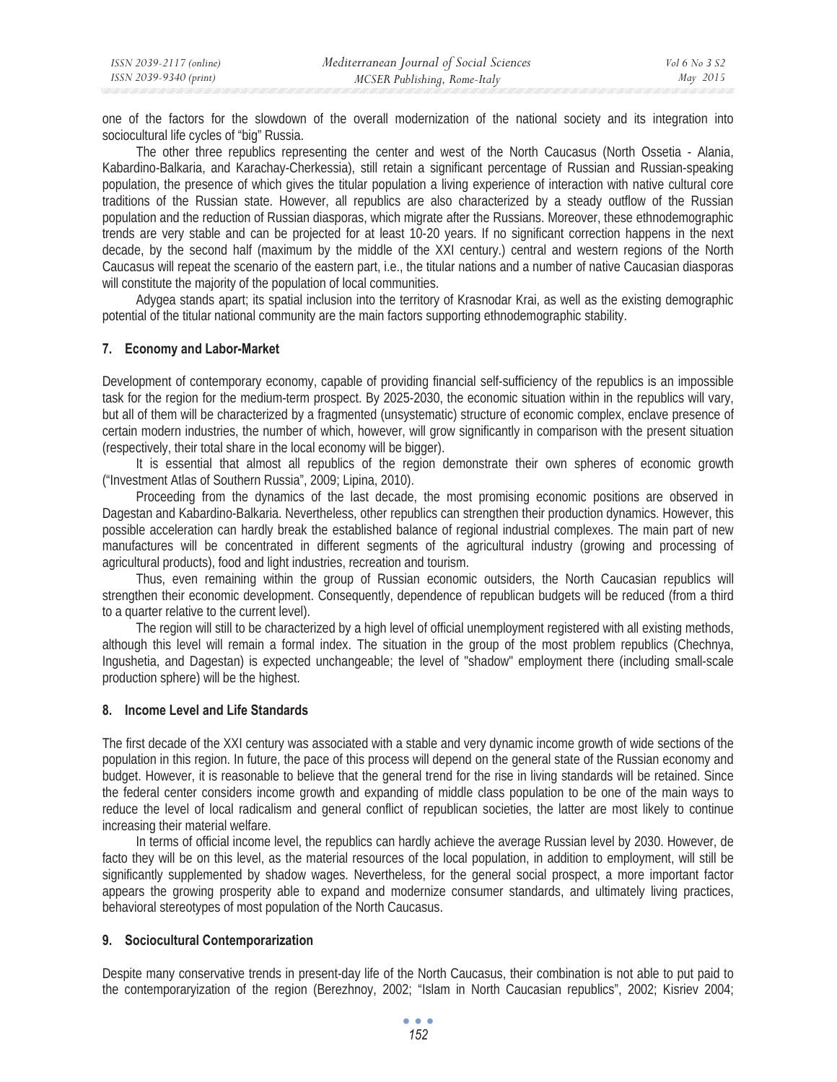one of the factors for the slowdown of the overall modernization of the national society and its integration into sociocultural life cycles of "big" Russia.

The other three republics representing the center and west of the North Caucasus (North Ossetia - Alania, Kabardino-Balkaria, and Karachay-Cherkessia), still retain a significant percentage of Russian and Russian-speaking population, the presence of which gives the titular population a living experience of interaction with native cultural core traditions of the Russian state. However, all republics are also characterized by a steady outflow of the Russian population and the reduction of Russian diasporas, which migrate after the Russians. Moreover, these ethnodemographic trends are very stable and can be projected for at least 10-20 years. If no significant correction happens in the next decade, by the second half (maximum by the middle of the XXI century.) central and western regions of the North Caucasus will repeat the scenario of the eastern part, i.e., the titular nations and a number of native Caucasian diasporas will constitute the majority of the population of local communities.

Adygea stands apart; its spatial inclusion into the territory of Krasnodar Krai, as well as the existing demographic potential of the titular national community are the main factors supporting ethnodemographic stability.

## **7. Economy and Labor-Market**

Development of contemporary economy, capable of providing financial self-sufficiency of the republics is an impossible task for the region for the medium-term prospect. By 2025-2030, the economic situation within in the republics will vary, but all of them will be characterized by a fragmented (unsystematic) structure of economic complex, enclave presence of certain modern industries, the number of which, however, will grow significantly in comparison with the present situation (respectively, their total share in the local economy will be bigger).

It is essential that almost all republics of the region demonstrate their own spheres of economic growth ("Investment Atlas of Southern Russia", 2009; Lipina, 2010).

Proceeding from the dynamics of the last decade, the most promising economic positions are observed in Dagestan and Kabardino-Balkaria. Nevertheless, other republics can strengthen their production dynamics. However, this possible acceleration can hardly break the established balance of regional industrial complexes. The main part of new manufactures will be concentrated in different segments of the agricultural industry (growing and processing of agricultural products), food and light industries, recreation and tourism.

Thus, even remaining within the group of Russian economic outsiders, the North Caucasian republics will strengthen their economic development. Consequently, dependence of republican budgets will be reduced (from a third to a quarter relative to the current level).

The region will still to be characterized by a high level of official unemployment registered with all existing methods, although this level will remain a formal index. The situation in the group of the most problem republics (Chechnya, Ingushetia, and Dagestan) is expected unchangeable; the level of "shadow" employment there (including small-scale production sphere) will be the highest.

### **8. Income Level and Life Standards**

The first decade of the XXI century was associated with a stable and very dynamic income growth of wide sections of the population in this region. In future, the pace of this process will depend on the general state of the Russian economy and budget. However, it is reasonable to believe that the general trend for the rise in living standards will be retained. Since the federal center considers income growth and expanding of middle class population to be one of the main ways to reduce the level of local radicalism and general conflict of republican societies, the latter are most likely to continue increasing their material welfare.

In terms of official income level, the republics can hardly achieve the average Russian level by 2030. However, de facto they will be on this level, as the material resources of the local population, in addition to employment, will still be significantly supplemented by shadow wages. Nevertheless, for the general social prospect, a more important factor appears the growing prosperity able to expand and modernize consumer standards, and ultimately living practices, behavioral stereotypes of most population of the North Caucasus.

### **9. Sociocultural Contemporarization**

Despite many conservative trends in present-day life of the North Caucasus, their combination is not able to put paid to the contemporaryization of the region (Berezhnoy, 2002; "Islam in North Caucasian republics", 2002; Kisriev 2004;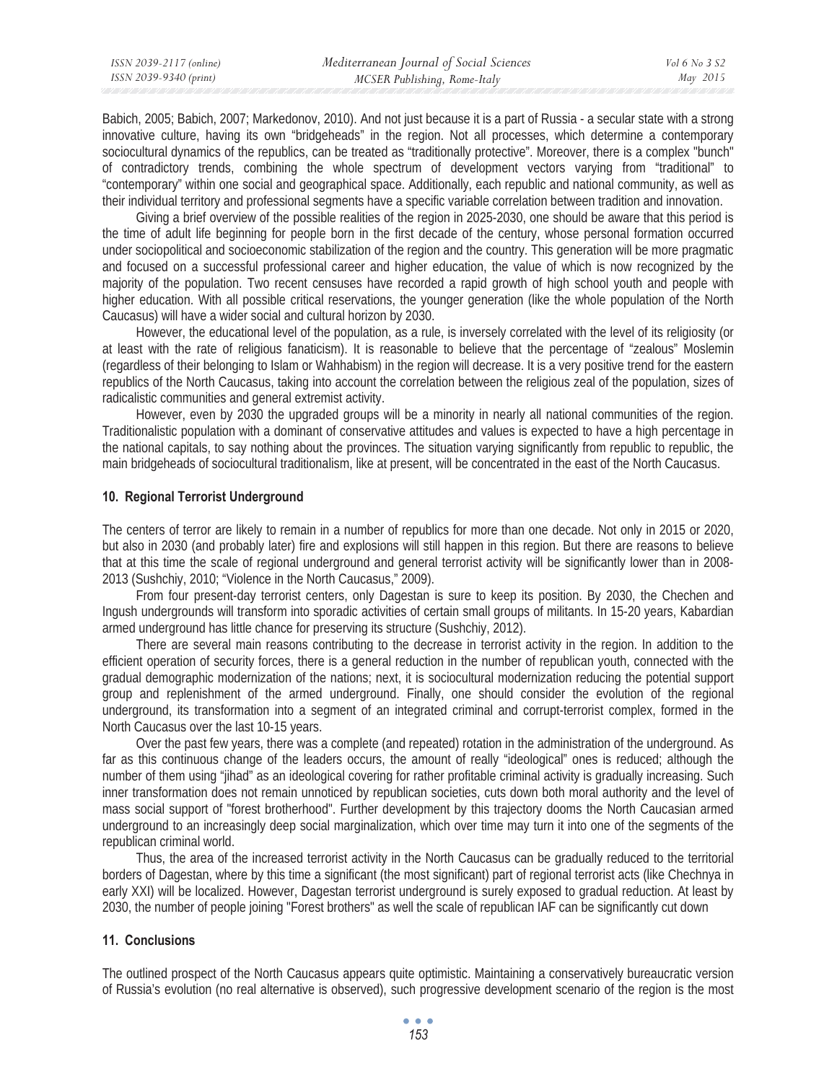| ISSN 2039-9340 (print) | ISSN 2039-2117 (online) | Mediterranean Journal of Social Sciences | Vol 6 No 3 S2 |
|------------------------|-------------------------|------------------------------------------|---------------|
|                        |                         | MCSER Publishing, Rome-Italy             | May 2015      |

Babich, 2005; Babich, 2007; Markedonov, 2010). And not just because it is a part of Russia - a secular state with a strong innovative culture, having its own "bridgeheads" in the region. Not all processes, which determine a contemporary sociocultural dynamics of the republics, can be treated as "traditionally protective". Moreover, there is a complex "bunch" of contradictory trends, combining the whole spectrum of development vectors varying from "traditional" to "contemporary" within one social and geographical space. Additionally, each republic and national community, as well as their individual territory and professional segments have a specific variable correlation between tradition and innovation.

Giving a brief overview of the possible realities of the region in 2025-2030, one should be aware that this period is the time of adult life beginning for people born in the first decade of the century, whose personal formation occurred under sociopolitical and socioeconomic stabilization of the region and the country. This generation will be more pragmatic and focused on a successful professional career and higher education, the value of which is now recognized by the majority of the population. Two recent censuses have recorded a rapid growth of high school youth and people with higher education. With all possible critical reservations, the younger generation (like the whole population of the North Caucasus) will have a wider social and cultural horizon by 2030.

However, the educational level of the population, as a rule, is inversely correlated with the level of its religiosity (or at least with the rate of religious fanaticism). It is reasonable to believe that the percentage of "zealous" Moslemin (regardless of their belonging to Islam or Wahhabism) in the region will decrease. It is a very positive trend for the eastern republics of the North Caucasus, taking into account the correlation between the religious zeal of the population, sizes of radicalistic communities and general extremist activity.

However, even by 2030 the upgraded groups will be a minority in nearly all national communities of the region. Traditionalistic population with a dominant of conservative attitudes and values is expected to have a high percentage in the national capitals, to say nothing about the provinces. The situation varying significantly from republic to republic, the main bridgeheads of sociocultural traditionalism, like at present, will be concentrated in the east of the North Caucasus.

# **10. Regional Terrorist Underground**

The centers of terror are likely to remain in a number of republics for more than one decade. Not only in 2015 or 2020, but also in 2030 (and probably later) fire and explosions will still happen in this region. But there are reasons to believe that at this time the scale of regional underground and general terrorist activity will be significantly lower than in 2008- 2013 (Sushchiy, 2010; "Violence in the North Caucasus," 2009).

From four present-day terrorist centers, only Dagestan is sure to keep its position. By 2030, the Chechen and Ingush undergrounds will transform into sporadic activities of certain small groups of militants. In 15-20 years, Kabardian armed underground has little chance for preserving its structure (Sushchiy, 2012).

There are several main reasons contributing to the decrease in terrorist activity in the region. In addition to the efficient operation of security forces, there is a general reduction in the number of republican youth, connected with the gradual demographic modernization of the nations; next, it is sociocultural modernization reducing the potential support group and replenishment of the armed underground. Finally, one should consider the evolution of the regional underground, its transformation into a segment of an integrated criminal and corrupt-terrorist complex, formed in the North Caucasus over the last 10-15 years.

Over the past few years, there was a complete (and repeated) rotation in the administration of the underground. As far as this continuous change of the leaders occurs, the amount of really "ideological" ones is reduced; although the number of them using "jihad" as an ideological covering for rather profitable criminal activity is gradually increasing. Such inner transformation does not remain unnoticed by republican societies, cuts down both moral authority and the level of mass social support of "forest brotherhood". Further development by this trajectory dooms the North Caucasian armed underground to an increasingly deep social marginalization, which over time may turn it into one of the segments of the republican criminal world.

Thus, the area of the increased terrorist activity in the North Caucasus can be gradually reduced to the territorial borders of Dagestan, where by this time a significant (the most significant) part of regional terrorist acts (like Chechnya in early XXI) will be localized. However, Dagestan terrorist underground is surely exposed to gradual reduction. At least by 2030, the number of people joining "Forest brothers" as well the scale of republican IAF can be significantly cut down

### **11. Conclusions**

The outlined prospect of the North Caucasus appears quite optimistic. Maintaining a conservatively bureaucratic version of Russia's evolution (no real alternative is observed), such progressive development scenario of the region is the most